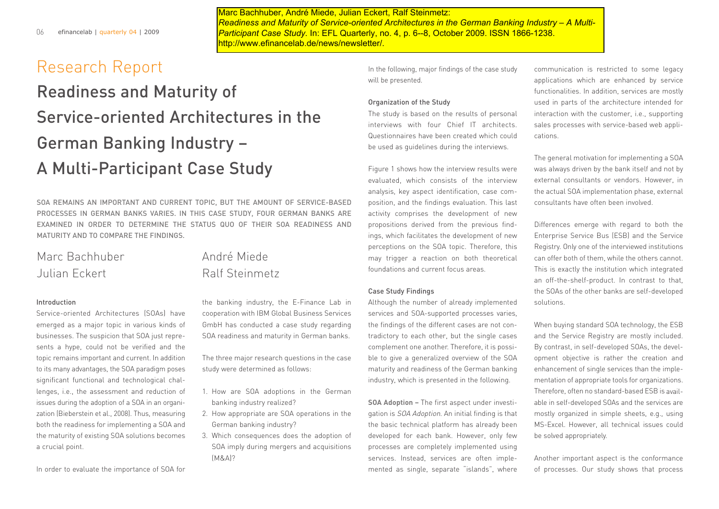Marc Bachhuber, André Miede, Julian Eckert, Ralf Steinmetz: *Readiness and Maturity of Service-oriented Architectures in the German Banking Industry – A Multi-Participant Case Study.* In: EFL Quarterly, no. 4, p. 6--8, October 2009. ISSN 1866-1238. http://www.efinancelab.de/news/newsletter/.

# Research Report

# Readiness and Maturity of Service-oriented Architectures in the German Banking Industry – A Multi-Participant Case Study

SOA REMAINS AN IMPORTANT AND CURRENT TOPIC, BUT THE AMOUNT OF SERVICE-BASED PROCESSES IN GERMAN BANKS VARIES. IN THIS CASE STUDY, FOUR GERMAN BANKS ARE EXAMINED IN ORDER TO DETERMINE THE STATUS QUO OF THEIR SOA READINESS AND MATURITY AND TO COMPARE THE FINDINGS.

## Marc Bachhuber **André Miede** Julian Eckert Ralf Steinmetz

### Introduction

Service-oriented Architectures (SOAs) have emerged as a major topic in various kinds of businesses. The suspicion that SOA just represents a hype, could not be verified and the topic remains important and current. In addition to its many advantages, the SOA paradigm poses significant functional and technological challenges, i.e., the assessment and reduction of issues during the adoption of a SOA in an organization (Bieberstein et al., 2008). Thus, measuring both the readiness for implementing a SOA and the maturity of existing SOA solutions becomes a crucial point.

In order to evaluate the importance of SOA for

the banking industry, the E-Finance Lab in cooperation with IBM Global Business Services GmbH has conducted a case study regarding SOA readiness and maturity in German banks.

The three major research questions in the case study were determined as follows:

- 1. How are SOA adoptions in the German banking industry realized?
- 2. How appropriate are SOA operations in the German banking industry?
- 3. Which consequences does the adoption of SOA imply during mergers and acquisitions (M&A)?

In the following, major findings of the case study will be presented.

### Organization of the Study

The study is based on the results of personal interviews with four Chief IT architects. Questionnaires have been created which could be used as guidelines during the interviews.

Figure 1 shows how the interview results were evaluated, which consists of the interview analysis, key aspect identification, case composition, and the findings evaluation. This last activity comprises the development of new propositions derived from the previous findings, which facilitates the development of new perceptions on the SOA topic. Therefore, this may trigger a reaction on both theoretical foundations and current focus areas.

### Case Study Findings

Although the number of already implemented services and SOA-supported processes varies, the findings of the different cases are not contradictory to each other, but the single cases complement one another. Therefore, it is possible to give a generalized overview of the SOA maturity and readiness of the German banking industry, which is presented in the following.

**SOA Adoption –** The first aspect under investigation is SOA Adoption. An initial finding is that the basic technical platform has already been developed for each bank. However, only few processes are completely implemented using services. Instead, services are often implemented as single, separate "islands", where

communication is restricted to some legacy applications which are enhanced by service functionalities. In addition, services are mostly used in parts of the architecture intended for interaction with the customer, i.e., supporting sales processes with service-based web applications.

The general motivation for implementing a SOA was always driven by the bank itself and not by external consultants or vendors. However, in the actual SOA implementation phase, external consultants have often been involved.

Differences emerge with regard to both the Enterprise Service Bus (ESB) and the Service Registry. Only one of the interviewed institutions can offer both of them, while the others cannot. This is exactly the institution which integrated an off-the-shelf-product. In contrast to that, the SOAs of the other banks are self-developed solutions.

When buying standard SOA technology, the ESB and the Service Registry are mostly included. By contrast, in self-developed SOAs, the development objective is rather the creation and enhancement of single services than the implementation of appropriate tools for organizations. Therefore, often no standard-based ESB is available in self-developed SOAs and the services are mostly organized in simple sheets, e.g., using MS-Excel. However, all technical issues could be solved appropriately.

Another important aspect is the conformance of processes. Our study shows that process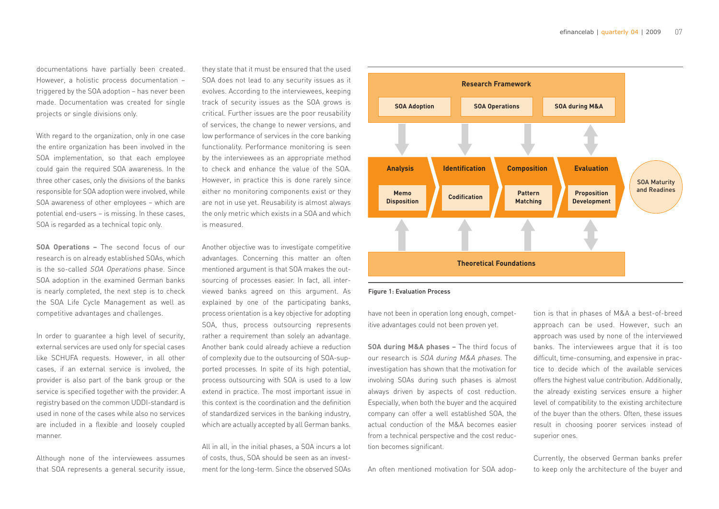documentations have partially been created. However, a holistic process documentation – triggered by the SOA adoption – has never been made. Documentation was created for single projects or single divisions only.

With regard to the organization, only in one case the entire organization has been involved in the SOA implementation, so that each employee could gain the required SOA awareness. In the three other cases, only the divisions of the banks responsible for SOA adoption were involved, while SOA awareness of other employees – which are potential end-users – is missing. In these cases, SOA is regarded as a technical topic only.

**SOA Operations –** The second focus of our research is on already established SOAs, which is the so-called SOA Operations phase. Since SOA adoption in the examined German banks is nearly completed, the next step is to check the SOA Life Cycle Management as well as competitive advantages and challenges.

In order to guarantee a high level of security, external services are used only for special cases like SCHUFA requests. However, in all other cases, if an external service is involved, the provider is also part of the bank group or the service is specified together with the provider. A registry based on the common UDDI-standard is used in none of the cases while also no services are included in a flexible and loosely coupled manner.

Although none of the interviewees assumes that SOA represents a general security issue, they state that it must be ensured that the used SOA does not lead to any security issues as it evolves. According to the interviewees, keeping track of security issues as the SOA grows is critical. Further issues are the poor reusability of services, the change to newer versions, and low performance of services in the core banking functionality. Performance monitoring is seen by the interviewees as an appropriate method to check and enhance the value of the SOA. However, in practice this is done rarely since either no monitoring components exist or they are not in use yet. Reusability is almost always the only metric which exists in a SOA and which is measured.

Another objective was to investigate competitive advantages. Concerning this matter an often mentioned argument is that SOA makes the outsourcing of processes easier. In fact, all interviewed banks agreed on this argument. As explained by one of the participating banks, process orientation is a key objective for adopting SOA, thus, process outsourcing represents rather a requirement than solely an advantage. Another bank could already achieve a reduction of complexity due to the outsourcing of SOA-supported processes. In spite of its high potential, process outsourcing with SOA is used to a low extend in practice. The most important issue in this context is the coordination and the definition of standardized services in the banking industry, which are actually accepted by all German banks.

All in all, in the initial phases, a SOA incurs a lot of costs, thus, SOA should be seen as an investment for the long-term. Since the observed SOAs



#### Figure 1: Evaluation Process

have not been in operation long enough, competitive advantages could not been proven yet.

**SOA during M&A phases –** The third focus of our research is SOA during M&A <sup>p</sup>hases. The investigation has shown that the motivation for involving SOAs during such phases is almost always driven by aspects of cost reduction. Especially, when both the buyer and the acquired company can offer a well established SOA, the actual conduction of the M&A becomes easier from a technical perspective and the cost reduction becomes significant.

An often mentioned motivation for SOA adop-

tion is that in phases of M&A a best-of-breed approach can be used. However, such an approach was used by none of the interviewed banks. The interviewees argue that it is too difficult, time-consuming, and expensive in practice to decide which of the available services offers the highest value contribution. Additionally, the already existing services ensure a higher level of compatibility to the existing architecture of the buyer than the others. Often, these issues result in choosing poorer services instead of superior ones.

Currently, the observed German banks prefer to keep only the architecture of the buyer and